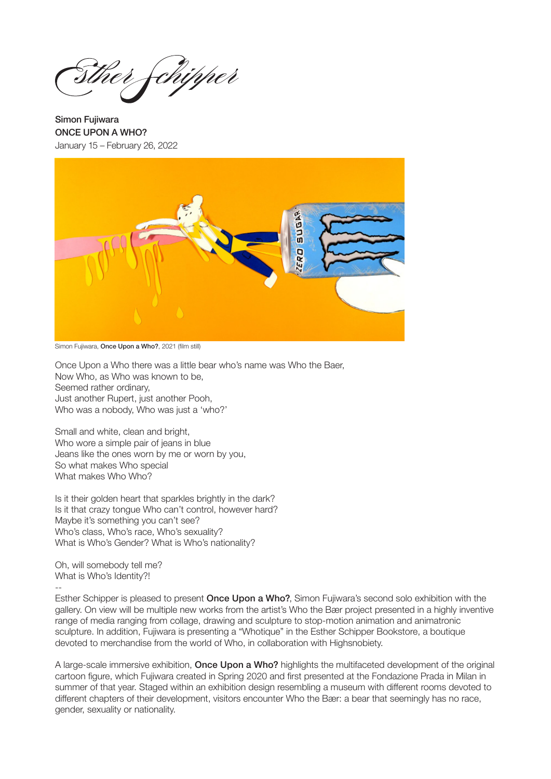chipper

Simon Fujiwara ONCE UPON A WHO? January 15 – February 26, 2022



Simon Fujiwara, Once Upon a Who?, 2021 (film still)

Once Upon a Who there was a little bear who's name was Who the Baer, Now Who, as Who was known to be, Seemed rather ordinary, Just another Rupert, just another Pooh, Who was a nobody, Who was just a 'who?'

Small and white, clean and bright, Who wore a simple pair of jeans in blue Jeans like the ones worn by me or worn by you, So what makes Who special What makes Who Who?

Is it their golden heart that sparkles brightly in the dark? Is it that crazy tongue Who can't control, however hard? Maybe it's something you can't see? Who's class, Who's race, Who's sexuality? What is Who's Gender? What is Who's nationality?

Oh, will somebody tell me? What is Who's Identity?! --

Esther Schipper is pleased to present Once Upon a Who?, Simon Fujiwara's second solo exhibition with the gallery. On view will be multiple new works from the artist's Who the Bær project presented in a highly inventive range of media ranging from collage, drawing and sculpture to stop-motion animation and animatronic sculpture. In addition, Fujiwara is presenting a "Whotique" in the Esther Schipper Bookstore, a boutique devoted to merchandise from the world of Who, in collaboration with Highsnobiety.

A large-scale immersive exhibition, **Once Upon a Who?** highlights the multifaceted development of the original cartoon figure, which Fujiwara created in Spring 2020 and first presented at the Fondazione Prada in Milan in summer of that year. Staged within an exhibition design resembling a museum with different rooms devoted to different chapters of their development, visitors encounter Who the Bær: a bear that seemingly has no race, gender, sexuality or nationality.